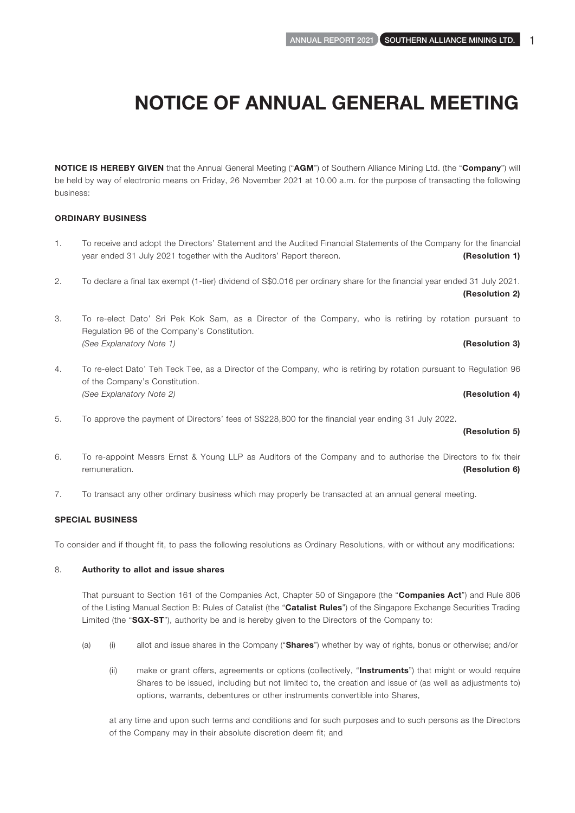NOTICE IS HEREBY GIVEN that the Annual General Meeting ("AGM") of Southern Alliance Mining Ltd. (the "Company") will be held by way of electronic means on Friday, 26 November 2021 at 10.00 a.m. for the purpose of transacting the following business:

## ORDINARY BUSINESS

- 1. To receive and adopt the Directors' Statement and the Audited Financial Statements of the Company for the financial year ended 31 July 2021 together with the Auditors' Report thereon. **(Resolution 1)** (Resolution 1)
- 2. To declare a final tax exempt (1-tier) dividend of S\$0.016 per ordinary share for the financial year ended 31 July 2021. (Resolution 2)
- 3. To re-elect Dato' Sri Pek Kok Sam, as a Director of the Company, who is retiring by rotation pursuant to Regulation 96 of the Company's Constitution. *(See Explanatory Note 1)* (Resolution 3)
- 4. To re-elect Dato' Teh Teck Tee, as a Director of the Company, who is retiring by rotation pursuant to Regulation 96 of the Company's Constitution. *(See Explanatory Note 2)* (Resolution 4)
- 5. To approve the payment of Directors' fees of S\$228,800 for the financial year ending 31 July 2022.

## (Resolution 5)

- 6. To re-appoint Messrs Ernst & Young LLP as Auditors of the Company and to authorise the Directors to fix their remuneration. **(Resolution 6) (Resolution 6) (Resolution 6)**
- 7. To transact any other ordinary business which may properly be transacted at an annual general meeting.

### SPECIAL BUSINESS

To consider and if thought fit, to pass the following resolutions as Ordinary Resolutions, with or without any modifications:

### 8. Authority to allot and issue shares

That pursuant to Section 161 of the Companies Act, Chapter 50 of Singapore (the "Companies Act") and Rule 806 of the Listing Manual Section B: Rules of Catalist (the "Catalist Rules") of the Singapore Exchange Securities Trading Limited (the "SGX-ST"), authority be and is hereby given to the Directors of the Company to:

- (a) (i) allot and issue shares in the Company ("**Shares**") whether by way of rights, bonus or otherwise; and/or
	- (ii) make or grant offers, agreements or options (collectively, "Instruments") that might or would require Shares to be issued, including but not limited to, the creation and issue of (as well as adjustments to) options, warrants, debentures or other instruments convertible into Shares,

at any time and upon such terms and conditions and for such purposes and to such persons as the Directors of the Company may in their absolute discretion deem fit; and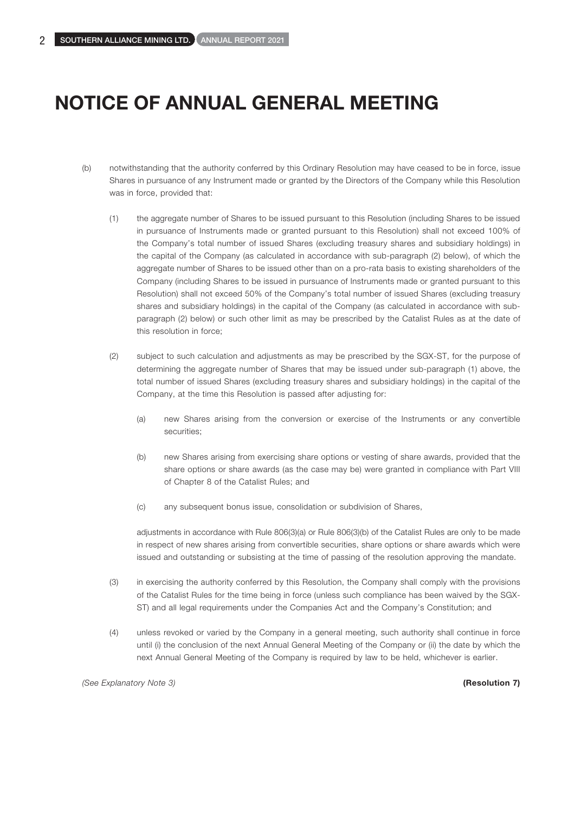- (b) notwithstanding that the authority conferred by this Ordinary Resolution may have ceased to be in force, issue Shares in pursuance of any Instrument made or granted by the Directors of the Company while this Resolution was in force, provided that:
	- (1) the aggregate number of Shares to be issued pursuant to this Resolution (including Shares to be issued in pursuance of Instruments made or granted pursuant to this Resolution) shall not exceed 100% of the Company's total number of issued Shares (excluding treasury shares and subsidiary holdings) in the capital of the Company (as calculated in accordance with sub-paragraph (2) below), of which the aggregate number of Shares to be issued other than on a pro-rata basis to existing shareholders of the Company (including Shares to be issued in pursuance of Instruments made or granted pursuant to this Resolution) shall not exceed 50% of the Company's total number of issued Shares (excluding treasury shares and subsidiary holdings) in the capital of the Company (as calculated in accordance with subparagraph (2) below) or such other limit as may be prescribed by the Catalist Rules as at the date of this resolution in force;
	- (2) subject to such calculation and adjustments as may be prescribed by the SGX-ST, for the purpose of determining the aggregate number of Shares that may be issued under sub-paragraph (1) above, the total number of issued Shares (excluding treasury shares and subsidiary holdings) in the capital of the Company, at the time this Resolution is passed after adjusting for:
		- (a) new Shares arising from the conversion or exercise of the Instruments or any convertible securities;
		- (b) new Shares arising from exercising share options or vesting of share awards, provided that the share options or share awards (as the case may be) were granted in compliance with Part VIII of Chapter 8 of the Catalist Rules; and
		- (c) any subsequent bonus issue, consolidation or subdivision of Shares,

adjustments in accordance with Rule 806(3)(a) or Rule 806(3)(b) of the Catalist Rules are only to be made in respect of new shares arising from convertible securities, share options or share awards which were issued and outstanding or subsisting at the time of passing of the resolution approving the mandate.

- (3) in exercising the authority conferred by this Resolution, the Company shall comply with the provisions of the Catalist Rules for the time being in force (unless such compliance has been waived by the SGX-ST) and all legal requirements under the Companies Act and the Company's Constitution; and
- (4) unless revoked or varied by the Company in a general meeting, such authority shall continue in force until (i) the conclusion of the next Annual General Meeting of the Company or (ii) the date by which the next Annual General Meeting of the Company is required by law to be held, whichever is earlier.

*(See Explanatory Note 3)* (Resolution 7)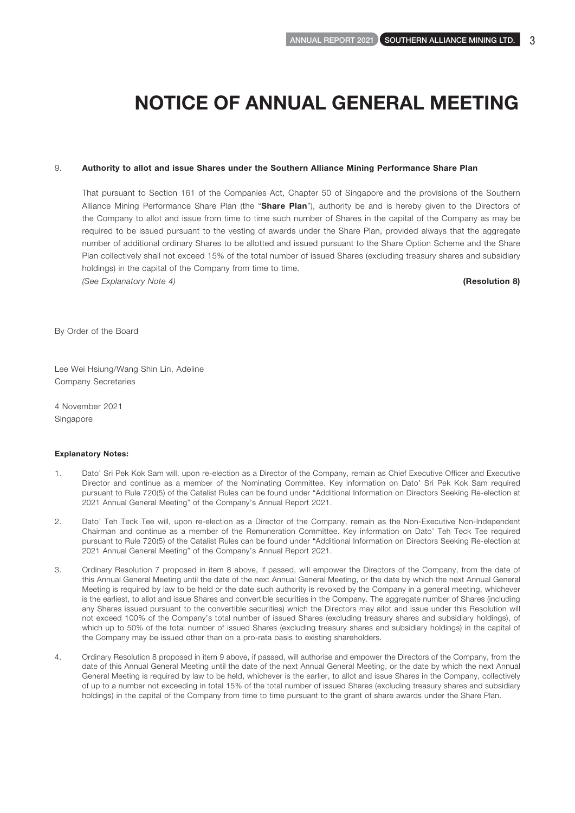#### 9. Authority to allot and issue Shares under the Southern Alliance Mining Performance Share Plan

That pursuant to Section 161 of the Companies Act, Chapter 50 of Singapore and the provisions of the Southern Alliance Mining Performance Share Plan (the "Share Plan"), authority be and is hereby given to the Directors of the Company to allot and issue from time to time such number of Shares in the capital of the Company as may be required to be issued pursuant to the vesting of awards under the Share Plan, provided always that the aggregate number of additional ordinary Shares to be allotted and issued pursuant to the Share Option Scheme and the Share Plan collectively shall not exceed 15% of the total number of issued Shares (excluding treasury shares and subsidiary holdings) in the capital of the Company from time to time. *(See Explanatory Note 4)* (Resolution 8)

By Order of the Board

Lee Wei Hsiung/Wang Shin Lin, Adeline Company Secretaries

4 November 2021 Singapore

#### Explanatory Notes:

- 1. Dato' Sri Pek Kok Sam will, upon re-election as a Director of the Company, remain as Chief Executive Officer and Executive Director and continue as a member of the Nominating Committee. Key information on Dato' Sri Pek Kok Sam required pursuant to Rule 720(5) of the Catalist Rules can be found under "Additional Information on Directors Seeking Re-election at 2021 Annual General Meeting" of the Company's Annual Report 2021.
- 2. Dato' Teh Teck Tee will, upon re-election as a Director of the Company, remain as the Non-Executive Non-Independent Chairman and continue as a member of the Remuneration Committee. Key information on Dato' Teh Teck Tee required pursuant to Rule 720(5) of the Catalist Rules can be found under "Additional Information on Directors Seeking Re-election at 2021 Annual General Meeting" of the Company's Annual Report 2021.
- 3. Ordinary Resolution 7 proposed in item 8 above, if passed, will empower the Directors of the Company, from the date of this Annual General Meeting until the date of the next Annual General Meeting, or the date by which the next Annual General Meeting is required by law to be held or the date such authority is revoked by the Company in a general meeting, whichever is the earliest, to allot and issue Shares and convertible securities in the Company. The aggregate number of Shares (including any Shares issued pursuant to the convertible securities) which the Directors may allot and issue under this Resolution will not exceed 100% of the Company's total number of issued Shares (excluding treasury shares and subsidiary holdings), of which up to 50% of the total number of issued Shares (excluding treasury shares and subsidiary holdings) in the capital of the Company may be issued other than on a pro-rata basis to existing shareholders.
- 4. Ordinary Resolution 8 proposed in item 9 above, if passed, will authorise and empower the Directors of the Company, from the date of this Annual General Meeting until the date of the next Annual General Meeting, or the date by which the next Annual General Meeting is required by law to be held, whichever is the earlier, to allot and issue Shares in the Company, collectively of up to a number not exceeding in total 15% of the total number of issued Shares (excluding treasury shares and subsidiary holdings) in the capital of the Company from time to time pursuant to the grant of share awards under the Share Plan.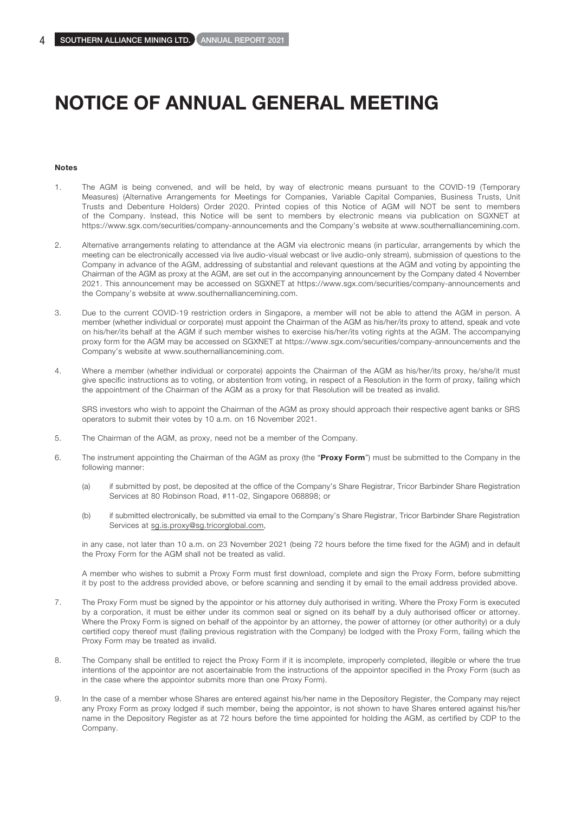#### Notes

- 1. The AGM is being convened, and will be held, by way of electronic means pursuant to the COVID-19 (Temporary Measures) (Alternative Arrangements for Meetings for Companies, Variable Capital Companies, Business Trusts, Unit Trusts and Debenture Holders) Order 2020. Printed copies of this Notice of AGM will NOT be sent to members of the Company. Instead, this Notice will be sent to members by electronic means via publication on SGXNET at https://www.sgx.com/securities/company-announcements and the Company's website at www.southernalliancemining.com.
- 2. Alternative arrangements relating to attendance at the AGM via electronic means (in particular, arrangements by which the meeting can be electronically accessed via live audio-visual webcast or live audio-only stream), submission of questions to the Company in advance of the AGM, addressing of substantial and relevant questions at the AGM and voting by appointing the Chairman of the AGM as proxy at the AGM, are set out in the accompanying announcement by the Company dated 4 November 2021. This announcement may be accessed on SGXNET at https://www.sgx.com/securities/company-announcements and the Company's website at www.southernalliancemining.com.
- 3. Due to the current COVID-19 restriction orders in Singapore, a member will not be able to attend the AGM in person. A member (whether individual or corporate) must appoint the Chairman of the AGM as his/her/its proxy to attend, speak and vote on his/her/its behalf at the AGM if such member wishes to exercise his/her/its voting rights at the AGM. The accompanying proxy form for the AGM may be accessed on SGXNET at https://www.sgx.com/securities/company-announcements and the Company's website at www.southernalliancemining.com.
- 4. Where a member (whether individual or corporate) appoints the Chairman of the AGM as his/her/its proxy, he/she/it must give specific instructions as to voting, or abstention from voting, in respect of a Resolution in the form of proxy, failing which the appointment of the Chairman of the AGM as a proxy for that Resolution will be treated as invalid.

SRS investors who wish to appoint the Chairman of the AGM as proxy should approach their respective agent banks or SRS operators to submit their votes by 10 a.m. on 16 November 2021.

- 5. The Chairman of the AGM, as proxy, need not be a member of the Company.
- 6. The instrument appointing the Chairman of the AGM as proxy (the "Proxy Form") must be submitted to the Company in the following manner:
	- (a) if submitted by post, be deposited at the office of the Company's Share Registrar, Tricor Barbinder Share Registration Services at 80 Robinson Road, #11-02, Singapore 068898; or
	- (b) if submitted electronically, be submitted via email to the Company's Share Registrar, Tricor Barbinder Share Registration Services at sg.is.proxy@sg.tricorglobal.com,

in any case, not later than 10 a.m. on 23 November 2021 (being 72 hours before the time fixed for the AGM) and in default the Proxy Form for the AGM shall not be treated as valid.

A member who wishes to submit a Proxy Form must first download, complete and sign the Proxy Form, before submitting it by post to the address provided above, or before scanning and sending it by email to the email address provided above.

- 7. The Proxy Form must be signed by the appointor or his attorney duly authorised in writing. Where the Proxy Form is executed by a corporation, it must be either under its common seal or signed on its behalf by a duly authorised officer or attorney. Where the Proxy Form is signed on behalf of the appointor by an attorney, the power of attorney (or other authority) or a duly certified copy thereof must (failing previous registration with the Company) be lodged with the Proxy Form, failing which the Proxy Form may be treated as invalid.
- 8. The Company shall be entitled to reject the Proxy Form if it is incomplete, improperly completed, illegible or where the true intentions of the appointor are not ascertainable from the instructions of the appointor specified in the Proxy Form (such as in the case where the appointor submits more than one Proxy Form).
- 9. In the case of a member whose Shares are entered against his/her name in the Depository Register, the Company may reject any Proxy Form as proxy lodged if such member, being the appointor, is not shown to have Shares entered against his/her name in the Depository Register as at 72 hours before the time appointed for holding the AGM, as certified by CDP to the Company.